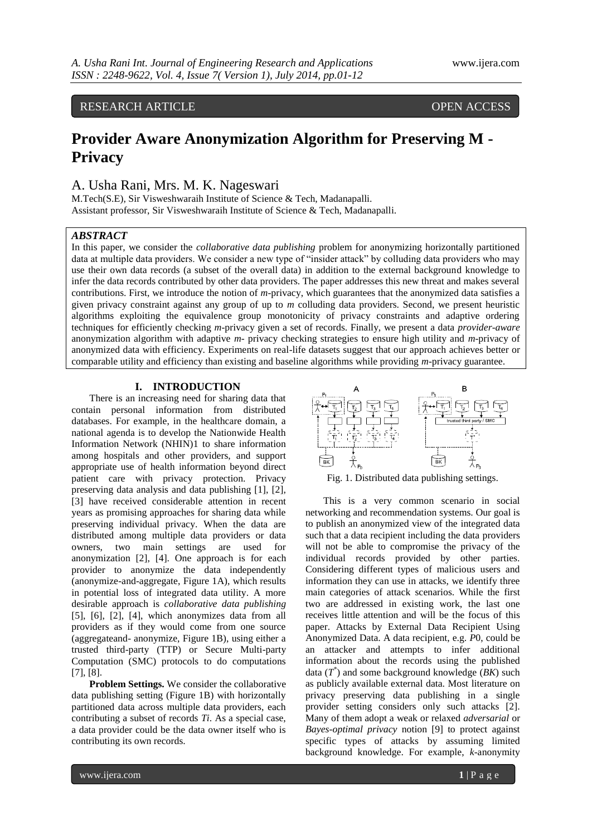RESEARCH ARTICLE OPEN ACCESS

# **Provider Aware Anonymization Algorithm for Preserving M - Privacy**

# A. Usha Rani, Mrs. M. K. Nageswari

M.Tech(S.E), Sir Visweshwaraih Institute of Science & Tech, Madanapalli. Assistant professor, Sir Visweshwaraih Institute of Science & Tech, Madanapalli.

## *ABSTRACT*

In this paper, we consider the *collaborative data publishing* problem for anonymizing horizontally partitioned data at multiple data providers. We consider a new type of "insider attack" by colluding data providers who may use their own data records (a subset of the overall data) in addition to the external background knowledge to infer the data records contributed by other data providers. The paper addresses this new threat and makes several contributions. First, we introduce the notion of *m*-privacy, which guarantees that the anonymized data satisfies a given privacy constraint against any group of up to *m* colluding data providers. Second, we present heuristic algorithms exploiting the equivalence group monotonicity of privacy constraints and adaptive ordering techniques for efficiently checking *m*-privacy given a set of records. Finally, we present a data *provider-aware*  anonymization algorithm with adaptive *m*- privacy checking strategies to ensure high utility and *m*-privacy of anonymized data with efficiency. Experiments on real-life datasets suggest that our approach achieves better or comparable utility and efficiency than existing and baseline algorithms while providing *m*-privacy guarantee.

#### **I. INTRODUCTION**

There is an increasing need for sharing data that contain personal information from distributed databases. For example, in the healthcare domain, a national agenda is to develop the Nationwide Health Information Network (NHIN)1 to share information among hospitals and other providers, and support appropriate use of health information beyond direct patient care with privacy protection. Privacy preserving data analysis and data publishing [1], [2], [3] have received considerable attention in recent years as promising approaches for sharing data while preserving individual privacy. When the data are distributed among multiple data providers or data owners, two main settings are used for anonymization [2], [4]. One approach is for each provider to anonymize the data independently (anonymize-and-aggregate, Figure 1A), which results in potential loss of integrated data utility. A more desirable approach is *collaborative data publishing*   $[5]$ ,  $[6]$ ,  $[2]$ ,  $[4]$ , which anonymizes data from all providers as if they would come from one source (aggregateand- anonymize, Figure 1B), using either a trusted third-party (TTP) or Secure Multi-party Computation (SMC) protocols to do computations [7], [8].

**Problem Settings.** We consider the collaborative data publishing setting (Figure 1B) with horizontally partitioned data across multiple data providers, each contributing a subset of records *Ti*. As a special case, a data provider could be the data owner itself who is contributing its own records.



Fig. 1. Distributed data publishing settings.

This is a very common scenario in social networking and recommendation systems. Our goal is to publish an anonymized view of the integrated data such that a data recipient including the data providers will not be able to compromise the privacy of the individual records provided by other parties. Considering different types of malicious users and information they can use in attacks, we identify three main categories of attack scenarios. While the first two are addressed in existing work, the last one receives little attention and will be the focus of this paper. Attacks by External Data Recipient Using Anonymized Data. A data recipient, e.g. *P*0, could be an attacker and attempts to infer additional information about the records using the published data (*T \** ) and some background knowledge (*BK*) such as publicly available external data. Most literature on privacy preserving data publishing in a single provider setting considers only such attacks [2]. Many of them adopt a weak or relaxed *adversarial* or *Bayes-optimal privacy* notion [9] to protect against specific types of attacks by assuming limited background knowledge. For example, *k*-anonymity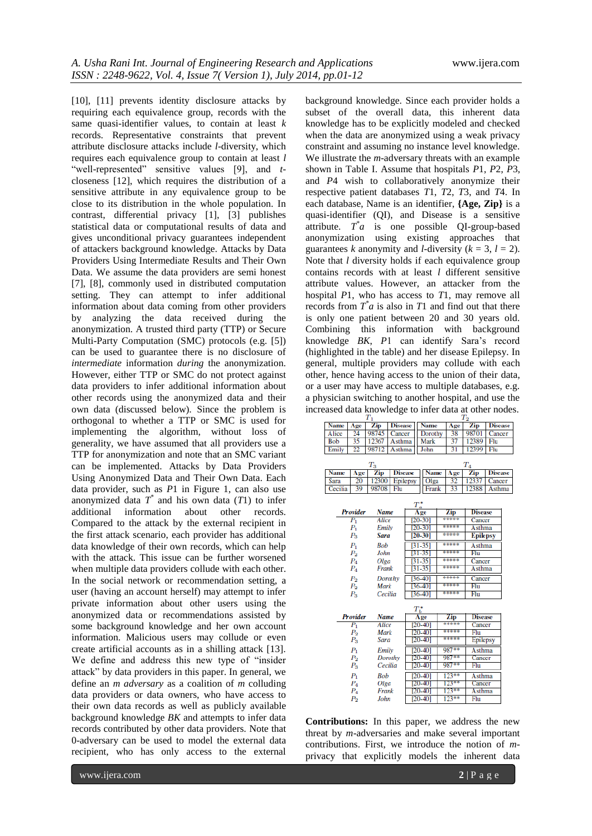[10], [11] prevents identity disclosure attacks by requiring each equivalence group, records with the same quasi-identifier values, to contain at least *k*  records. Representative constraints that prevent attribute disclosure attacks include *l*-diversity, which requires each equivalence group to contain at least *l*  "well-represented" sensitive values [9], and *t*closeness [12], which requires the distribution of a sensitive attribute in any equivalence group to be close to its distribution in the whole population. In contrast, differential privacy [1], [3] publishes statistical data or computational results of data and gives unconditional privacy guarantees independent of attackers background knowledge. Attacks by Data Providers Using Intermediate Results and Their Own Data. We assume the data providers are semi honest [7], [8], commonly used in distributed computation setting. They can attempt to infer additional information about data coming from other providers by analyzing the data received during the anonymization. A trusted third party (TTP) or Secure Multi-Party Computation (SMC) protocols (e.g. [5]) can be used to guarantee there is no disclosure of *intermediate* information *during* the anonymization. However, either TTP or SMC do not protect against data providers to infer additional information about other records using the anonymized data and their own data (discussed below). Since the problem is orthogonal to whether a TTP or SMC is used for implementing the algorithm, without loss of generality, we have assumed that all providers use a TTP for anonymization and note that an SMC variant can be implemented. Attacks by Data Providers Using Anonymized Data and Their Own Data. Each data provider, such as *P*1 in Figure 1, can also use anonymized data  $T^*$  and his own data (*T*1) to infer additional information about other records. Compared to the attack by the external recipient in the first attack scenario, each provider has additional data knowledge of their own records, which can help with the attack. This issue can be further worsened when multiple data providers collude with each other. In the social network or recommendation setting, a user (having an account herself) may attempt to infer private information about other users using the anonymized data or recommendations assisted by some background knowledge and her own account information. Malicious users may collude or even create artificial accounts as in a shilling attack [13]. We define and address this new type of "insider attack" by data providers in this paper. In general, we define an *m adversary* as a coalition of *m* colluding data providers or data owners, who have access to their own data records as well as publicly available background knowledge *BK* and attempts to infer data records contributed by other data providers. Note that 0-adversary can be used to model the external data recipient, who has only access to the external

background knowledge. Since each provider holds a subset of the overall data, this inherent data knowledge has to be explicitly modeled and checked when the data are anonymized using a weak privacy constraint and assuming no instance level knowledge. We illustrate the *m*-adversary threats with an example shown in Table I. Assume that hospitals *P*1, *P*2, *P*3, and *P*4 wish to collaboratively anonymize their respective patient databases *T*1, *T*2, *T*3, and *T*4. In each database, Name is an identifier, **{Age, Zip}** is a quasi-identifier (QI), and Disease is a sensitive attribute.  $T^*a$  is one possible QI-group-based anonymization using existing approaches that guarantees *k* anonymity and *l*-diversity ( $k = 3$ ,  $l = 2$ ). Note that *l* diversity holds if each equivalence group contains records with at least *l* different sensitive attribute values. However, an attacker from the hospital *P*1, who has access to *T*1, may remove all records from  $T^*a$  is also in  $T1$  and find out that there is only one patient between 20 and 30 years old. Combining this information with background knowledge *BK*, *P*1 can identify Sara's record (highlighted in the table) and her disease Epilepsy. In general, multiple providers may collude with each other, hence having access to the union of their data, or a user may have access to multiple databases, e.g. a physician switching to another hospital, and use the increased data knowledge to infer data at other nodes.

| $\scriptstyle T_1$ |                               |             |                    | $T_{2}$   |             |             |     |         |              |                 |                |  |
|--------------------|-------------------------------|-------------|--------------------|-----------|-------------|-------------|-----|---------|--------------|-----------------|----------------|--|
| <b>Name</b>        | Age                           | Zip         | <b>Disease</b>     |           | <b>Name</b> |             | Age | Zip     |              | <b>Disease</b>  |                |  |
| Alice              | 24                            | 98745       | <b>Cancer</b><br>C | Dorothy   |             |             | 38  |         | 98701        | Cancer          |                |  |
| <b>Bob</b>         | 35                            | 12367       | Asthma             | Mark      |             |             | 37  |         | 12389<br>Flu |                 |                |  |
| Emily              | 22                            | 98712       | Asthma             |           | John        |             |     | 31      |              | 12399<br>Flu    |                |  |
|                    | $T_{3}$<br>$\scriptstyle T_4$ |             |                    |           |             |             |     |         |              |                 |                |  |
| <b>Name</b>        | Age                           | Zip         | <b>Disease</b>     |           |             | <b>Name</b> |     | Age     |              | Zip             | <b>Disease</b> |  |
| Sara               | 20                            | 12300       | Epilepsy           |           |             | Olga        |     | 32      |              | 12337           | Cancer         |  |
| Cecilia            | 39                            | 98708       | Flu                |           |             | Frank       |     | 33      |              | 12388           | Asthma         |  |
|                    |                               |             |                    |           | $T_a^*$     |             |     |         |              |                 |                |  |
|                    | Provider                      | <b>Name</b> |                    |           | Age         |             |     | Zip     |              | <b>Disease</b>  |                |  |
|                    | $P_{1}$                       | Alice       |                    |           | 20-301      |             |     | *****   |              | Cancer          |                |  |
|                    | $P_{1}$                       | Emily       |                    |           | 20-301      |             |     | *****   |              | Asthma          |                |  |
|                    | $P_3$                         | <b>Sara</b> |                    |           | 20-301      |             |     | *****   |              | <b>Epilepsy</b> |                |  |
|                    | $P_{1}$                       | Bob         |                    |           | 31-351      |             |     | *****   |              | Asthma          |                |  |
|                    | $P_{2}$                       | John        |                    |           | 31-35]      |             |     | *****   |              | Flu             |                |  |
|                    | $P_4$                         | Olga        |                    |           | 31-351      |             |     | *****   |              | Cancer          |                |  |
|                    | $P_4$                         | Frank       |                    |           | 31-351      |             |     | *****   |              | Asthma          |                |  |
|                    | $P_{2}$                       | Dorothy     |                    |           | 36-401      |             |     | *****   |              | Cancer          |                |  |
|                    | $P_{2}$                       | <b>Mark</b> |                    |           | 36-401      |             |     | *****   |              | Flu             |                |  |
|                    | $P_3$                         | Cecilia     |                    |           | 36-40]      |             |     | *****   |              | Flu             |                |  |
|                    |                               |             |                    |           | $T_b^*$     |             |     |         |              |                 |                |  |
|                    | Provider                      | <b>Name</b> |                    |           | Age         |             |     | Zip     |              | <b>Disease</b>  |                |  |
|                    | $P_{1}$                       | Alice       |                    |           | 20-401      |             |     | *****   |              | Cancer          |                |  |
|                    | $P_{2}$                       | Mark        |                    |           | [20-40]     |             |     | *****   |              | Flu             |                |  |
|                    | $P_3$                         | Sara        |                    | $[20-40]$ |             |             |     | *****   |              | Epilepsy        |                |  |
|                    | $P_1$                         | Emily       |                    |           | 20-401      |             |     | 987**   |              | Asthma          |                |  |
|                    | $P_{2}$                       | Dorothy     |                    |           | 20-401      |             |     | 987**   |              | Cancer          |                |  |
|                    | $P_3$                         | Cecilia     |                    |           | 20-401      |             |     | 987**   |              | Flu             |                |  |
|                    | $P_1$                         | <b>Bob</b>  |                    |           | 20-401      |             |     | 123**   |              | Asthma          |                |  |
|                    | $P_{4}$                       | Olga        |                    |           | [20-40]     |             |     | 123**   |              | Cancer          |                |  |
|                    | $P_4$                         | Frank       |                    |           | [20-40]     |             |     | 123**   |              | Asthma          |                |  |
|                    | $P_{2}$                       | John        |                    | [20-40]   |             |             |     | $123**$ |              | Flu             |                |  |

 $\mathsf{F}$ 

**Contributions:** In this paper, we address the new threat by *m*-adversaries and make several important contributions. First, we introduce the notion of *m*privacy that explicitly models the inherent data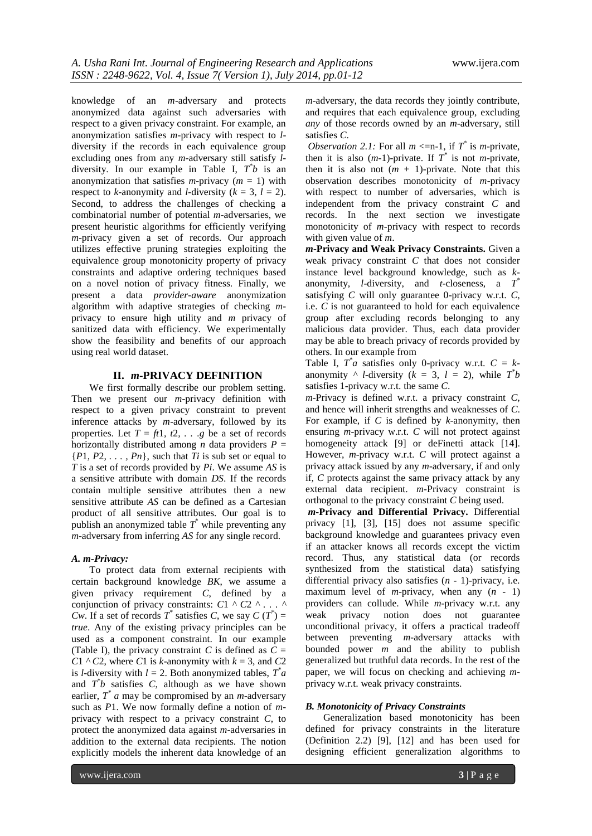knowledge of an *m*-adversary and protects anonymized data against such adversaries with respect to a given privacy constraint. For example, an anonymization satisfies *m*-privacy with respect to *l*diversity if the records in each equivalence group excluding ones from any *m*-adversary still satisfy *l*diversity. In our example in Table I,  $T^*b$  is an anonymization that satisfies  $m$ -privacy ( $m = 1$ ) with respect to *k*-anonymity and *l*-diversity ( $k = 3$ ,  $l = 2$ ). Second, to address the challenges of checking a combinatorial number of potential *m*-adversaries, we present heuristic algorithms for efficiently verifying *m*-privacy given a set of records. Our approach utilizes effective pruning strategies exploiting the equivalence group monotonicity property of privacy constraints and adaptive ordering techniques based on a novel notion of privacy fitness. Finally, we present a data *provider-aware* anonymization algorithm with adaptive strategies of checking *m*privacy to ensure high utility and *m* privacy of sanitized data with efficiency. We experimentally show the feasibility and benefits of our approach using real world dataset.

#### **II.** *m***-PRIVACY DEFINITION**

We first formally describe our problem setting. Then we present our *m*-privacy definition with respect to a given privacy constraint to prevent inference attacks by *m*-adversary, followed by its properties. Let  $T = ft1$ ,  $t2$ , . . . . g be a set of records horizontally distributed among *n* data providers  $P =$ {*P*1*, P*2*, . . . , Pn*}, such that *Ti* is sub set or equal to *T* is a set of records provided by *Pi*. We assume *AS* is a sensitive attribute with domain *DS*. If the records contain multiple sensitive attributes then a new sensitive attribute *AS* can be defined as a Cartesian product of all sensitive attributes. Our goal is to publish an anonymized table  $T^*$  while preventing any *m*-adversary from inferring *AS* for any single record.

#### *A. m-Privacy:*

To protect data from external recipients with certain background knowledge *BK*, we assume a given privacy requirement *C*, defined by a conjunction of privacy constraints:  $C1 \wedge C2 \wedge \ldots \wedge C2$ *Cw*. If a set of records  $T^*$  satisfies *C*, we say  $C(T^*) =$ *true*. Any of the existing privacy principles can be used as a component constraint. In our example (Table I), the privacy constraint *C* is defined as  $C =$  $C1 \wedge C2$ , where *C*1 is *k*-anonymity with  $k = 3$ , and *C*2 is *l*-diversity with  $l = 2$ . Both anonymized tables,  $T^*a$ and  $T^*b$  satisfies  $C$ , although as we have shown earlier,  $T^*$  *a* may be compromised by an *m*-adversary such as *P*1. We now formally define a notion of *m*privacy with respect to a privacy constraint *C*, to protect the anonymized data against *m*-adversaries in addition to the external data recipients. The notion explicitly models the inherent data knowledge of an

*m*-adversary, the data records they jointly contribute, and requires that each equivalence group, excluding *any* of those records owned by an *m*-adversary, still satisfies *C*.

Observation 2.1: For all  $m \leq -n-1$ , if  $T^*$  is *m*-private, then it is also  $(m-1)$ -private. If  $T^*$  is not *m*-private, then it is also not  $(m + 1)$ -private. Note that this observation describes monotonicity of *m*-privacy with respect to number of adversaries, which is independent from the privacy constraint *C* and records. In the next section we investigate monotonicity of *m*-privacy with respect to records with given value of *m*.

*m***-Privacy and Weak Privacy Constraints.** Given a weak privacy constraint *C* that does not consider instance level background knowledge, such as *k*anonymity, *l*-diversity, and *t*-closeness, a *T \** satisfying *C* will only guarantee 0-privacy w.r.t. *C*, i.e. *C* is not guaranteed to hold for each equivalence group after excluding records belonging to any malicious data provider. Thus, each data provider may be able to breach privacy of records provided by others. In our example from

Table I,  $T^*a$  satisfies only 0-privacy w.r.t.  $C = k$ anonymity  $\wedge$  *l*-diversity ( $k = 3$ ,  $l = 2$ ), while  $T^*b$ satisfies 1-privacy w.r.t. the same *C*.

*m*-Privacy is defined w.r.t. a privacy constraint *C*, and hence will inherit strengths and weaknesses of *C*. For example, if *C* is defined by *k*-anonymity, then ensuring *m*-privacy w.r.t. *C* will not protect against homogeneity attack [9] or deFinetti attack [14]. However, *m*-privacy w.r.t. *C* will protect against a privacy attack issued by any *m*-adversary, if and only if, *C* protects against the same privacy attack by any external data recipient. *m*-Privacy constraint is orthogonal to the privacy constraint *C* being used.

*m***-Privacy and Differential Privacy.** Differential privacy [1], [3], [15] does not assume specific background knowledge and guarantees privacy even if an attacker knows all records except the victim record. Thus, any statistical data (or records synthesized from the statistical data) satisfying differential privacy also satisfies (*n -* 1)-privacy, i.e. maximum level of *m*-privacy, when any (*n -* 1) providers can collude. While *m*-privacy w.r.t. any weak privacy notion does not guarantee unconditional privacy, it offers a practical tradeoff between preventing *m*-adversary attacks with bounded power *m* and the ability to publish generalized but truthful data records. In the rest of the paper, we will focus on checking and achieving *m*privacy w.r.t. weak privacy constraints.

#### *B. Monotonicity of Privacy Constraints*

Generalization based monotonicity has been defined for privacy constraints in the literature (Definition 2.2) [9], [12] and has been used for designing efficient generalization algorithms to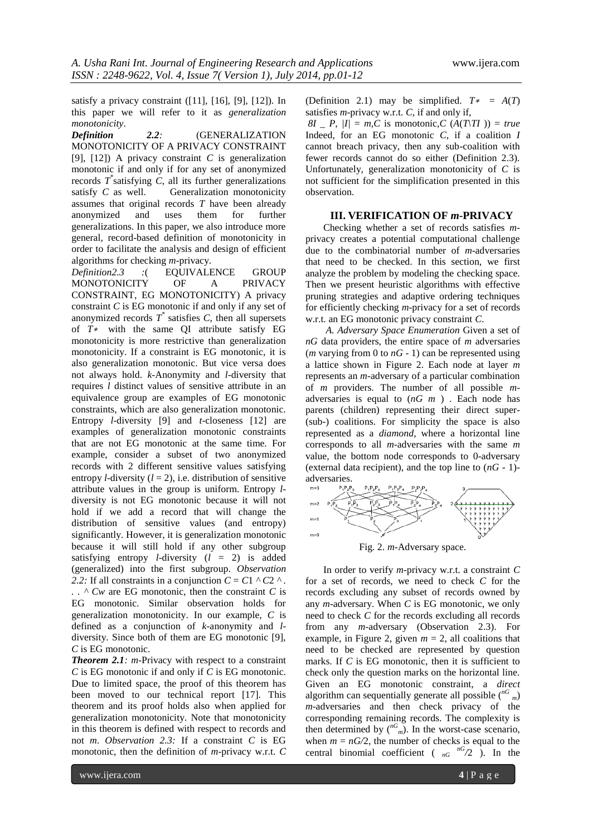satisfy a privacy constraint  $([11], [16], [9], [12])$ . In this paper we will refer to it as *generalization monotonicity*.

*Definition 2.2:* (GENERALIZATION MONOTONICITY OF A PRIVACY CONSTRAINT [9], [12]) A privacy constraint *C* is generalization monotonic if and only if for any set of anonymized records  $T^*$  satisfying  $C$ , all its further generalizations satisfy *C* as well. Generalization monotonicity assumes that original records *T* have been already anonymized and uses them for further generalizations. In this paper, we also introduce more general, record-based definition of monotonicity in order to facilitate the analysis and design of efficient algorithms for checking *m*-privacy.

*Definition2.3 :*( EQUIVALENCE GROUP MONOTONICITY OF A PRIVACY CONSTRAINT, EG MONOTONICITY) A privacy constraint *C* is EG monotonic if and only if any set of anonymized records  $T^*$  satisfies  $C$ , then all supersets of *T*<sup>∗</sup> with the same QI attribute satisfy EG monotonicity is more restrictive than generalization monotonicity. If a constraint is EG monotonic, it is also generalization monotonic. But vice versa does not always hold. *k*-Anonymity and *l*-diversity that requires *l* distinct values of sensitive attribute in an equivalence group are examples of EG monotonic constraints, which are also generalization monotonic. Entropy *l*-diversity [9] and *t*-closeness [12] are examples of generalization monotonic constraints that are not EG monotonic at the same time. For example, consider a subset of two anonymized records with 2 different sensitive values satisfying entropy *l*-diversity  $(l = 2)$ , i.e. distribution of sensitive attribute values in the group is uniform. Entropy *l*diversity is not EG monotonic because it will not hold if we add a record that will change the distribution of sensitive values (and entropy) significantly. However, it is generalization monotonic because it will still hold if any other subgroup satisfying entropy *l*-diversity (*l* = 2) is added (generalized) into the first subgroup. *Observation*  2.2: If all constraints in a conjunction  $C = C1 \wedge C2 \wedge$ . *. . ^ Cw* are EG monotonic, then the constraint *C* is EG monotonic. Similar observation holds for generalization monotonicity. In our example, *C* is defined as a conjunction of *k*-anonymity and *l*diversity. Since both of them are EG monotonic [9], *C* is EG monotonic.

*Theorem 2.1: m*-Privacy with respect to a constraint *C* is EG monotonic if and only if *C* is EG monotonic. Due to limited space, the proof of this theorem has been moved to our technical report [17]. This theorem and its proof holds also when applied for generalization monotonicity. Note that monotonicity in this theorem is defined with respect to records and not *m*. *Observation 2.3:* If a constraint *C* is EG monotonic, then the definition of *m*-privacy w.r.t. *C* 

(Definition 2.1) may be simplified.  $T* = A(T)$ satisfies *m*-privacy w.r.t. *C*, if and only if,

 $8I \cdot P$ ,  $|I| = m$ , *C* is monotonic, *C* (*A*(*T*\*TI*)) = *true* Indeed, for an EG monotonic *C*, if a coalition *I*  cannot breach privacy, then any sub-coalition with fewer records cannot do so either (Definition 2.3). Unfortunately, generalization monotonicity of *C* is not sufficient for the simplification presented in this observation.

# **III. VERIFICATION OF** *m***-PRIVACY**

Checking whether a set of records satisfies *m*privacy creates a potential computational challenge due to the combinatorial number of *m*-adversaries that need to be checked. In this section, we first analyze the problem by modeling the checking space. Then we present heuristic algorithms with effective pruning strategies and adaptive ordering techniques for efficiently checking *m*-privacy for a set of records w.r.t. an EG monotonic privacy constraint *C*.

*A. Adversary Space Enumeration* Given a set of *nG* data providers, the entire space of *m* adversaries (*m* varying from 0 to *nG -* 1) can be represented using a lattice shown in Figure 2. Each node at layer *m* represents an *m*-adversary of a particular combination of *m* providers. The number of all possible *m*adversaries is equal to (*nG m* ) . Each node has parents (children) representing their direct super- (sub-) coalitions. For simplicity the space is also represented as a *diamond*, where a horizontal line corresponds to all *m*-adversaries with the same *m*  value, the bottom node corresponds to 0-adversary (external data recipient), and the top line to (*nG -* 1) adversaries.



Fig. 2. *m*-Adversary space.

In order to verify *m*-privacy w.r.t. a constraint *C*  for a set of records, we need to check *C* for the records excluding any subset of records owned by any *m*-adversary. When *C* is EG monotonic, we only need to check *C* for the records excluding all records from any *m*-adversary (Observation 2.3). For example, in Figure 2, given  $m = 2$ , all coalitions that need to be checked are represented by question marks. If *C* is EG monotonic, then it is sufficient to check only the question marks on the horizontal line. Given an EG monotonic constraint, a *direct*  algorithm can sequentially generate all possible ( *nG m*) *m*-adversaries and then check privacy of the corresponding remaining records. The complexity is then determined by  $\binom{nG_m}{m}$ . In the worst-case scenario, when  $m = nG/2$ , the number of checks is equal to the central binomial coefficient ( $_{nG}$ <sup> $_{nG}/^{nG}/2$ </sup>). In the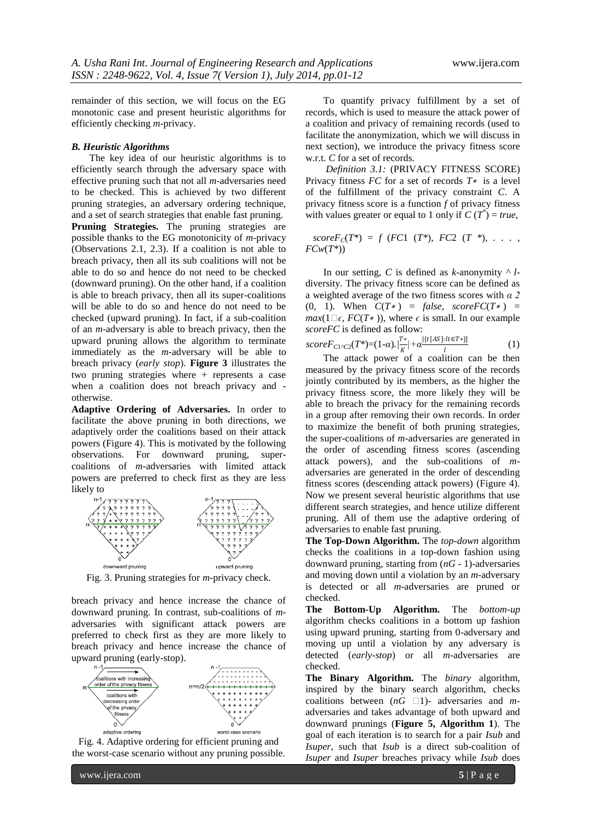remainder of this section, we will focus on the EG monotonic case and present heuristic algorithms for efficiently checking *m*-privacy.

#### *B. Heuristic Algorithms*

The key idea of our heuristic algorithms is to efficiently search through the adversary space with effective pruning such that not all *m*-adversaries need to be checked. This is achieved by two different pruning strategies, an adversary ordering technique, and a set of search strategies that enable fast pruning.

**Pruning Strategies.** The pruning strategies are possible thanks to the EG monotonicity of *m*-privacy (Observations 2.1, 2.3). If a coalition is not able to breach privacy, then all its sub coalitions will not be able to do so and hence do not need to be checked (downward pruning). On the other hand, if a coalition is able to breach privacy, then all its super-coalitions will be able to do so and hence do not need to be checked (upward pruning). In fact, if a sub-coalition of an *m*-adversary is able to breach privacy, then the upward pruning allows the algorithm to terminate immediately as the *m*-adversary will be able to breach privacy (*early stop*). **Figure 3** illustrates the two pruning strategies where + represents a case when a coalition does not breach privacy and otherwise.

**Adaptive Ordering of Adversaries.** In order to facilitate the above pruning in both directions, we adaptively order the coalitions based on their attack powers (Figure 4). This is motivated by the following observations. For downward pruning, supercoalitions of *m*-adversaries with limited attack powers are preferred to check first as they are less likely to



Fig. 3. Pruning strategies for *m*-privacy check.

breach privacy and hence increase the chance of downward pruning. In contrast, sub-coalitions of *m*adversaries with significant attack powers are preferred to check first as they are more likely to breach privacy and hence increase the chance of upward pruning (early-stop).





To quantify privacy fulfillment by a set of records, which is used to measure the attack power of a coalition and privacy of remaining records (used to facilitate the anonymization, which we will discuss in next section), we introduce the privacy fitness score w.r.t. *C* for a set of records.

*Definition 3.1:* (PRIVACY FITNESS SCORE) Privacy fitness *FC* for a set of records *T*<sup>∗</sup> is a level of the fulfillment of the privacy constraint *C*. A privacy fitness score is a function *f* of privacy fitness with values greater or equal to 1 only if  $C(T^*) = true$ ,

 $scoreF_c(T^*) = f(FC1(T^*), FC2(T^*), \ldots,$ *FCw*(*T\**))

In our setting, *C* is defined as *k*-anonymity *^ l*diversity. The privacy fitness score can be defined as a weighted average of the two fitness scores with *α 2*  (0, 1). When  $C(T*)$  = *false*, *scoreFC*( $T*)$  =  $max(1 \square \epsilon, FC(T*))$ , where  $\epsilon$  is small. In our example *scoreFC* is defined as follow:

$$
scoreF_{C1 \cap C2}(T^*) = (1-\alpha) \cdot \frac{T^*}{K} + \alpha \frac{[\text{tr}[AS] \cdot \text{tr}[\tau^*]]}{l} \tag{1}
$$

The attack power of a coalition can be then measured by the privacy fitness score of the records jointly contributed by its members, as the higher the privacy fitness score, the more likely they will be able to breach the privacy for the remaining records in a group after removing their own records. In order to maximize the benefit of both pruning strategies, the super-coalitions of *m*-adversaries are generated in the order of ascending fitness scores (ascending attack powers), and the sub-coalitions of *m*adversaries are generated in the order of descending fitness scores (descending attack powers) (Figure 4). Now we present several heuristic algorithms that use different search strategies, and hence utilize different pruning. All of them use the adaptive ordering of adversaries to enable fast pruning.

**The Top-Down Algorithm.** The *top-down* algorithm checks the coalitions in a top-down fashion using downward pruning, starting from (*nG -* 1)-adversaries and moving down until a violation by an *m*-adversary is detected or all *m*-adversaries are pruned or checked.

**The Bottom-Up Algorithm.** The *bottom-up*  algorithm checks coalitions in a bottom up fashion using upward pruning, starting from 0-adversary and moving up until a violation by any adversary is detected (*early-stop*) or all *m*-adversaries are checked.

**The Binary Algorithm.** The *binary* algorithm, inspired by the binary search algorithm, checks coalitions between  $(nG \square 1)$ - adversaries and *m*adversaries and takes advantage of both upward and downward prunings (**Figure 5, Algorithm 1**). The goal of each iteration is to search for a pair *Isub* and *Isuper*, such that *Isub* is a direct sub-coalition of *Isuper* and *Isuper* breaches privacy while *Isub* does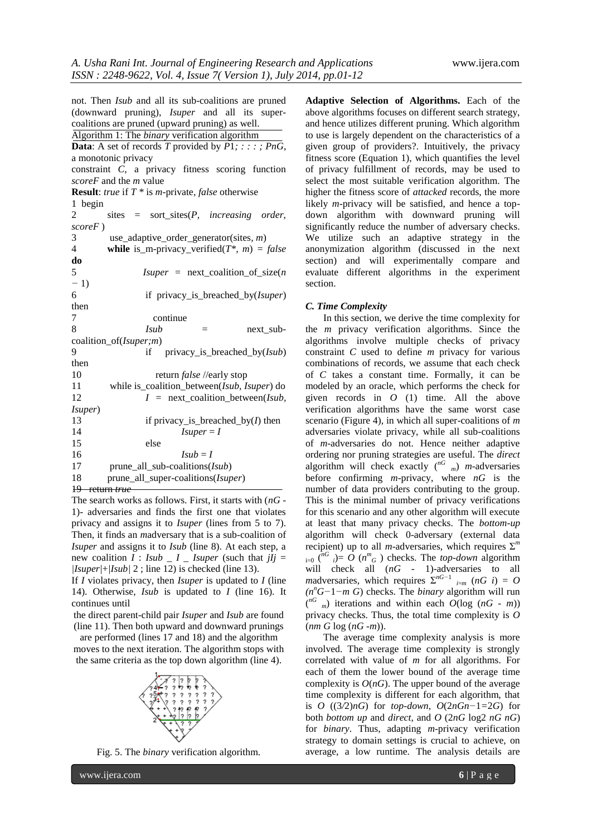| not. Then Isub and all its sub-coalitions are pruned                      |  |  |  |  |  |  |  |
|---------------------------------------------------------------------------|--|--|--|--|--|--|--|
| (downward pruning), Isuper and all its<br>super-                          |  |  |  |  |  |  |  |
| coalitions are pruned (upward pruning) as well.                           |  |  |  |  |  |  |  |
| Algorithm 1: The binary verification algorithm                            |  |  |  |  |  |  |  |
| <b>Data:</b> A set of records T provided by $P1$ ; : : : ; PnG,           |  |  |  |  |  |  |  |
| a monotonic privacy                                                       |  |  |  |  |  |  |  |
| constraint C, a privacy fitness scoring function                          |  |  |  |  |  |  |  |
| scoreF and the <i>m</i> value                                             |  |  |  |  |  |  |  |
| <b>Result:</b> true if $T^*$ is <i>m</i> -private, <i>false</i> otherwise |  |  |  |  |  |  |  |
| 1 begin                                                                   |  |  |  |  |  |  |  |
| sites = sort_sites( $P$ , increasing order,<br>2                          |  |  |  |  |  |  |  |
| scoreF)                                                                   |  |  |  |  |  |  |  |
| 3<br>use_adaptive_order_generator(sites, m)                               |  |  |  |  |  |  |  |
| while is_m-privacy_verified( $T^*$ , $m$ ) = false<br>$\overline{4}$      |  |  |  |  |  |  |  |
| do                                                                        |  |  |  |  |  |  |  |
| 5<br>$Isuper = next\_coalition_of_size(n)$                                |  |  |  |  |  |  |  |
| $-1)$                                                                     |  |  |  |  |  |  |  |
| 6<br>if privacy_is_breached_by( <i>Isuper</i> )                           |  |  |  |  |  |  |  |
| then                                                                      |  |  |  |  |  |  |  |
| 7<br>continue                                                             |  |  |  |  |  |  |  |
| 8<br><i>Isub</i><br>next sub-<br>$=$                                      |  |  |  |  |  |  |  |
| coalition_of(Isuper;m)                                                    |  |  |  |  |  |  |  |
| if privacy_is_breached_by(Isub)<br>9                                      |  |  |  |  |  |  |  |
| then                                                                      |  |  |  |  |  |  |  |
| 10<br>return <i>false</i> //early stop                                    |  |  |  |  |  |  |  |
| 11<br>while is_coalition_between(Isub, Isuper) do                         |  |  |  |  |  |  |  |
| 12<br>$I = \text{next\_coalition\_between}(Isub,$                         |  |  |  |  |  |  |  |
| <i>Isuper</i> )                                                           |  |  |  |  |  |  |  |
| 13<br>if privacy_is_breached_by( $I$ ) then                               |  |  |  |  |  |  |  |
| 14<br>$Isuper = I$                                                        |  |  |  |  |  |  |  |
| 15<br>else                                                                |  |  |  |  |  |  |  |
| 16<br>$Isuh = I$                                                          |  |  |  |  |  |  |  |
| 17<br>prune_all_sub-coalitions(Isub)                                      |  |  |  |  |  |  |  |
| 18<br>prune_all_super-coalitions(Isuper)                                  |  |  |  |  |  |  |  |
| 19<br><del>return <i>true</i>-</del>                                      |  |  |  |  |  |  |  |

The search works as follows. First, it starts with (*nG -* 1)- adversaries and finds the first one that violates privacy and assigns it to *Isuper* (lines from 5 to 7). Then, it finds an *m*adversary that is a sub-coalition of *Isuper* and assigns it to *Isub* (line 8). At each step, a new coalition *I* : *Isub \_ I \_ Isuper* (such that *jIj* = *|Isuper|*+*|Isub|* 2 ; line 12) is checked (line 13).

If *I* violates privacy, then *Isuper* is updated to *I* (line 14). Otherwise, *Isub* is updated to *I* (line 16). It continues until

the direct parent-child pair *Isuper* and *Isub* are found (line 11). Then both upward and downward prunings

are performed (lines 17 and 18) and the algorithm moves to the next iteration. The algorithm stops with the same criteria as the top down algorithm (line 4).



Fig. 5. The *binary* verification algorithm.

**Adaptive Selection of Algorithms.** Each of the above algorithms focuses on different search strategy, and hence utilizes different pruning. Which algorithm to use is largely dependent on the characteristics of a given group of providers?. Intuitively, the privacy fitness score (Equation 1), which quantifies the level of privacy fulfillment of records, may be used to select the most suitable verification algorithm. The higher the fitness score of *attacked* records, the more likely *m*-privacy will be satisfied, and hence a topdown algorithm with downward pruning will significantly reduce the number of adversary checks. We utilize such an adaptive strategy in the anonymization algorithm (discussed in the next section) and will experimentally compare and evaluate different algorithms in the experiment section.

#### *C. Time Complexity*

In this section, we derive the time complexity for the *m* privacy verification algorithms. Since the algorithms involve multiple checks of privacy constraint *C* used to define *m* privacy for various combinations of records, we assume that each check of *C* takes a constant time. Formally, it can be modeled by an oracle, which performs the check for given records in *O* (1) time. All the above verification algorithms have the same worst case scenario (Figure 4), in which all super-coalitions of *m* adversaries violate privacy, while all sub-coalitions of *m*-adversaries do not. Hence neither adaptive ordering nor pruning strategies are useful. The *direct*  algorithm will check exactly  $\binom{nG}{m}$  *m*-adversaries before confirming *m*-privacy, where *nG* is the number of data providers contributing to the group. This is the minimal number of privacy verifications for this scenario and any other algorithm will execute at least that many privacy checks. The *bottom-up*  algorithm will check 0-adversary (external data recipient) up to all *m*-adversaries, which requires Σ *m*  $\sum_{i=0}^{n}$   $\binom{nG}{i}$  *i*) *checks.* The *top-down* algorithm will check all (*nG -* 1)-adversaries to all *m*adversaries, which requires  $\sum^{nG-1}$  *i*=*m* (*nG i*) = *O (n <sup>n</sup>G−*1*−m G*) checks. The *binary* algorithm will run  $\binom{nG}{m}$  iterations and within each  $O(\log (nG - m))$ privacy checks. Thus, the total time complexity is *O*  (*nm G* log (*nG -m*)).

The average time complexity analysis is more involved. The average time complexity is strongly correlated with value of *m* for all algorithms. For each of them the lower bound of the average time complexity is  $O(nG)$ . The upper bound of the average time complexity is different for each algorithm, that is *O* ((3*/*2)*nG*) for *top-down*, *O*(2*nGn−*1*=*2*G*) for both *bottom up* and *direct*, and *O* (2*nG* log2 *nG nG*) for *binary*. Thus, adapting *m*-privacy verification strategy to domain settings is crucial to achieve, on average, a low runtime. The analysis details are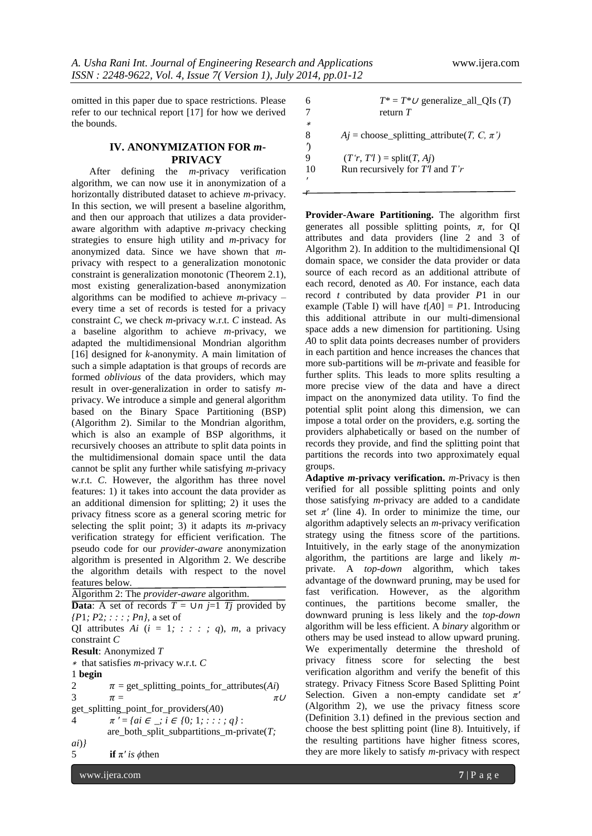omitted in this paper due to space restrictions. Please refer to our technical report [17] for how we derived the bounds.

## **IV. ANONYMIZATION FOR** *m***-PRIVACY**

After defining the *m*-privacy verification algorithm, we can now use it in anonymization of a horizontally distributed dataset to achieve *m*-privacy. In this section, we will present a baseline algorithm, and then our approach that utilizes a data provideraware algorithm with adaptive *m*-privacy checking strategies to ensure high utility and *m*-privacy for anonymized data. Since we have shown that *m*privacy with respect to a generalization monotonic constraint is generalization monotonic (Theorem 2.1), most existing generalization-based anonymization algorithms can be modified to achieve *m*-privacy – every time a set of records is tested for a privacy constraint *C*, we check *m*-privacy w.r.t. *C* instead. As a baseline algorithm to achieve *m*-privacy, we adapted the multidimensional Mondrian algorithm [16] designed for *k*-anonymity. A main limitation of such a simple adaptation is that groups of records are formed *oblivious* of the data providers, which may result in over-generalization in order to satisfy *m*privacy. We introduce a simple and general algorithm based on the Binary Space Partitioning (BSP) (Algorithm 2). Similar to the Mondrian algorithm, which is also an example of BSP algorithms, it recursively chooses an attribute to split data points in the multidimensional domain space until the data cannot be split any further while satisfying *m*-privacy w.r.t. *C*. However, the algorithm has three novel features: 1) it takes into account the data provider as an additional dimension for splitting; 2) it uses the privacy fitness score as a general scoring metric for selecting the split point; 3) it adapts its *m*-privacy verification strategy for efficient verification. The pseudo code for our *provider-aware* anonymization algorithm is presented in Algorithm 2. We describe the algorithm details with respect to the novel features below.

Algorithm 2: The *provider-aware* algorithm. **Data**: A set of records  $T = \cup n$  *j*=1 *Tj* provided by *{P*1*; P*2*; : : : ; Pn}*, a set of QI attributes  $Ai$  ( $i = 1$ ;  $\therefore$   $\therefore$   $q$ ),  $m$ , a privacy constraint *C* **Result**: Anonymized *T* ∗ that satisfies *m*-privacy w.r.t. *C* 1 **begin** 2  $\pi = get\_splitting\_points\_for\_attributes(Ai)$ 3  $\pi =$   $\pi U$ get\_splitting\_point\_for\_providers(*A*0) 4  $\pi' = \{ ai \in \_ ; i \in \{0; 1; \dots; q\} :$ are\_both\_split\_subpartitions\_m-private(*T; ai*)*}* 5 **if** π*′ is ϕ*then

6  
\n
$$
T^* = T^*U
$$
 generalize\_all\_QIs (T)  
\n
$$
T
$$
  
\n
$$
Aj = \text{choose\_splitting\_attribute}(T, C, \pi')
$$
  
\n
$$
T
$$

*′*)  $(T'r, T'l) = \text{split}(T, Aj)$ 10 Run recursively for *T′l* and *T'r*

∗

*′ r*

**Provider-Aware Partitioning.** The algorithm first generates all possible splitting points,  $\pi$ , for QI attributes and data providers (line 2 and 3 of Algorithm 2). In addition to the multidimensional QI domain space, we consider the data provider or data source of each record as an additional attribute of each record, denoted as *A*0. For instance, each data record *t* contributed by data provider *P*1 in our example (Table I) will have  $t[A0] = P1$ . Introducing this additional attribute in our multi-dimensional space adds a new dimension for partitioning. Using *A*0 to split data points decreases number of providers in each partition and hence increases the chances that more sub-partitions will be *m*-private and feasible for further splits. This leads to more splits resulting a more precise view of the data and have a direct impact on the anonymized data utility. To find the potential split point along this dimension, we can impose a total order on the providers, e.g. sorting the providers alphabetically or based on the number of records they provide, and find the splitting point that partitions the records into two approximately equal groups.

**Adaptive** *m***-privacy verification.** *m*-Privacy is then verified for all possible splitting points and only those satisfying *m-*privacy are added to a candidate set  $\pi'$  (line 4). In order to minimize the time, our algorithm adaptively selects an *m-*privacy verification strategy using the fitness score of the partitions. Intuitively, in the early stage of the anonymization algorithm, the partitions are large and likely *m*private. A *top-down* algorithm, which takes advantage of the downward pruning, may be used for fast verification. However, as the algorithm continues, the partitions become smaller, the downward pruning is less likely and the *top-down*  algorithm will be less efficient. A *binary* algorithm or others may be used instead to allow upward pruning. We experimentally determine the threshold of privacy fitness score for selecting the best verification algorithm and verify the benefit of this strategy. Privacy Fitness Score Based Splitting Point Selection. Given a non-empty candidate set *π′*  (Algorithm 2), we use the privacy fitness score (Definition 3.1) defined in the previous section and choose the best splitting point (line 8). Intuitively, if the resulting partitions have higher fitness scores, they are more likely to satisfy *m*-privacy with respect

www.ijera.com **7** | P a g e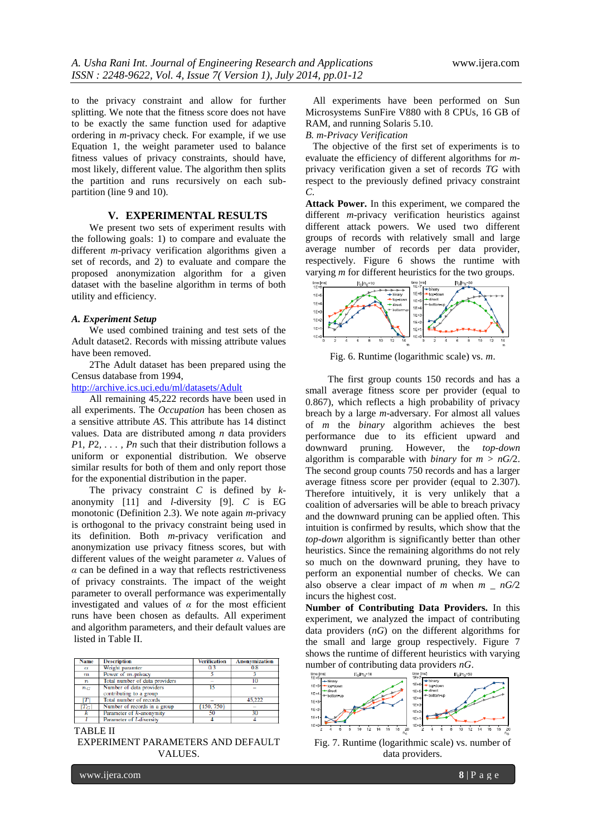to the privacy constraint and allow for further splitting. We note that the fitness score does not have to be exactly the same function used for adaptive ordering in *m*-privacy check. For example, if we use Equation 1, the weight parameter used to balance fitness values of privacy constraints, should have, most likely, different value. The algorithm then splits the partition and runs recursively on each subpartition (line 9 and 10).

#### **V. EXPERIMENTAL RESULTS**

We present two sets of experiment results with the following goals: 1) to compare and evaluate the different *m*-privacy verification algorithms given a set of records, and 2) to evaluate and compare the proposed anonymization algorithm for a given dataset with the baseline algorithm in terms of both utility and efficiency.

#### *A. Experiment Setup*

We used combined training and test sets of the Adult dataset2. Records with missing attribute values have been removed.

2The Adult dataset has been prepared using the Census database from 1994,

<http://archive.ics.uci.edu/ml/datasets/Adult>

All remaining 45,222 records have been used in all experiments. The *Occupation* has been chosen as a sensitive attribute *AS*. This attribute has 14 distinct values. Data are distributed among *n* data providers *P*1*, P*2*, . . . , Pn* such that their distribution follows a uniform or exponential distribution. We observe similar results for both of them and only report those for the exponential distribution in the paper.

The privacy constraint *C* is defined by *k*anonymity [11] and *l*-diversity [9]. *C* is EG monotonic (Definition 2.3). We note again *m*-privacy is orthogonal to the privacy constraint being used in its definition. Both *m*-privacy verification and anonymization use privacy fitness scores, but with different values of the weight parameter *α*. Values of *α* can be defined in a way that reflects restrictiveness of privacy constraints. The impact of the weight parameter to overall performance was experimentally investigated and values of  $\alpha$  for the most efficient runs have been chosen as defaults. All experiment and algorithm parameters, and their default values are listed in Table II.

| <b>Name</b>        | <b>Description</b>                                  | <b>Verification</b> | <b>Anonymization</b> |
|--------------------|-----------------------------------------------------|---------------------|----------------------|
| $\alpha$           | Weight paramter                                     | 0.3                 | 0.8                  |
| $\boldsymbol{m}$   | Power of $m$ -privacy                               |                     |                      |
| $\boldsymbol{n}$   | Total number of data providers                      |                     | 10                   |
| $n_G$              | Number of data providers<br>contributing to a group | 15                  |                      |
|                    | Total number of records                             |                     |                      |
| $\left T_G\right $ | Number of records in a group                        | ${150, 750}$        |                      |
| k                  | Parameter of $k$ -anonymity                         | 50                  | 30                   |
|                    | Parameter of L-diversity                            |                     |                      |

TABLE II

EXPERIMENT PARAMETERS AND DEFAULT VALUES.

 All experiments have been performed on Sun Microsystems SunFire V880 with 8 CPUs, 16 GB of RAM, and running Solaris 5.10.

# *B. m-Privacy Verification*

 The objective of the first set of experiments is to evaluate the efficiency of different algorithms for *m*privacy verification given a set of records *TG* with respect to the previously defined privacy constraint *C*.

**Attack Power.** In this experiment, we compared the different *m*-privacy verification heuristics against different attack powers. We used two different groups of records with relatively small and large average number of records per data provider, respectively. Figure 6 shows the runtime with varying *m* for different heuristics for the two groups.



Fig. 6. Runtime (logarithmic scale) vs. *m*.

The first group counts 150 records and has a small average fitness score per provider (equal to 0*.*867), which reflects a high probability of privacy breach by a large *m*-adversary. For almost all values of *m* the *binary* algorithm achieves the best performance due to its efficient upward and downward pruning. However, the *top-down*  algorithm is comparable with *binary* for *m > nG/*2. The second group counts 750 records and has a larger average fitness score per provider (equal to 2*.*307). Therefore intuitively, it is very unlikely that a coalition of adversaries will be able to breach privacy and the downward pruning can be applied often. This intuition is confirmed by results, which show that the *top-down* algorithm is significantly better than other heuristics. Since the remaining algorithms do not rely so much on the downward pruning, they have to perform an exponential number of checks. We can also observe a clear impact of *m* when *m \_ nG/*2 incurs the highest cost.

**Number of Contributing Data Providers.** In this experiment, we analyzed the impact of contributing data providers (*nG*) on the different algorithms for the small and large group respectively. Figure 7 shows the runtime of different heuristics with varying number of contributing data providers *nG*.



Fig. 7. Runtime (logarithmic scale) vs. number of data providers.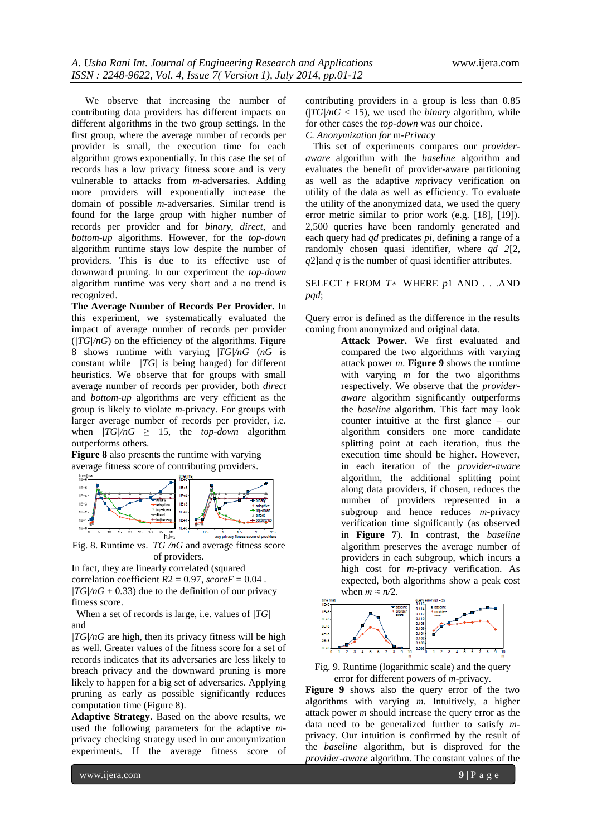We observe that increasing the number of contributing data providers has different impacts on different algorithms in the two group settings. In the first group, where the average number of records per provider is small, the execution time for each algorithm grows exponentially. In this case the set of records has a low privacy fitness score and is very vulnerable to attacks from *m*-adversaries. Adding more providers will exponentially increase the domain of possible *m*-adversaries. Similar trend is found for the large group with higher number of records per provider and for *binary*, *direct*, and *bottom-up* algorithms. However, for the *top-down*  algorithm runtime stays low despite the number of providers. This is due to its effective use of downward pruning. In our experiment the *top-down*  algorithm runtime was very short and a no trend is recognized.

**The Average Number of Records Per Provider.** In this experiment, we systematically evaluated the impact of average number of records per provider  $(|TG|/nG)$  on the efficiency of the algorithms. Figure 8 shows runtime with varying |*TG|/nG* (*nG* is constant while *|TG|* is being hanged) for different heuristics. We observe that for groups with small average number of records per provider, both *direct*  and *bottom-up* algorithms are very efficient as the group is likely to violate *m*-privacy. For groups with larger average number of records per provider, i.e. when  $|TG|/nG \geq 15$ , the *top-down* algorithm outperforms others.

**Figure 8** also presents the runtime with varying average fitness score of contributing providers.



Fig. 8. Runtime vs. |*TG|/nG* and average fitness score of providers.

In fact, they are linearly correlated (squared correlation coefficient  $R2 = 0.97$ ,  $scoreF = 0.04$ .  $|TG|/nG + 0.33$  due to the definition of our privacy fitness score.

 When a set of records is large, i.e. values of *|TG|* and

*|TG|/nG* are high, then its privacy fitness will be high as well. Greater values of the fitness score for a set of records indicates that its adversaries are less likely to breach privacy and the downward pruning is more likely to happen for a big set of adversaries. Applying pruning as early as possible significantly reduces computation time (Figure 8).

**Adaptive Strategy**. Based on the above results, we used the following parameters for the adaptive *m*privacy checking strategy used in our anonymization experiments. If the average fitness score of contributing providers in a group is less than 0*.*85  $(|TG|/nG < 15)$ , we used the *binary* algorithm, while for other cases the *top-down* was our choice. *C. Anonymization for* m*-Privacy*

 This set of experiments compares our *provideraware* algorithm with the *baseline* algorithm and evaluates the benefit of provider-aware partitioning as well as the adaptive *m*privacy verification on utility of the data as well as efficiency. To evaluate the utility of the anonymized data, we used the query error metric similar to prior work (e.g. [18], [19]). 2,500 queries have been randomly generated and each query had *qd* predicates *pi*, defining a range of a randomly chosen quasi identifier, where *qd 2*[2*, q*2]and *q* is the number of quasi identifier attributes.

SELECT *t* FROM *T*<sup>∗</sup> WHERE *p*1 AND . . .AND *pqd*;

Query error is defined as the difference in the results coming from anonymized and original data.

> **Attack Power.** We first evaluated and compared the two algorithms with varying attack power *m*. **Figure 9** shows the runtime with varying *m* for the two algorithms respectively. We observe that the *provideraware* algorithm significantly outperforms the *baseline* algorithm. This fact may look counter intuitive at the first glance – our algorithm considers one more candidate splitting point at each iteration, thus the execution time should be higher. However, in each iteration of the *provider-aware*  algorithm, the additional splitting point along data providers, if chosen, reduces the number of providers represented in a subgroup and hence reduces *m*-privacy verification time significantly (as observed in **Figure 7**). In contrast, the *baseline*  algorithm preserves the average number of providers in each subgroup, which incurs a high cost for *m*-privacy verification. As expected, both algorithms show a peak cost when  $m \approx n/2$ .



Fig. 9. Runtime (logarithmic scale) and the query error for different powers of *m*-privacy.

**Figure 9** shows also the query error of the two algorithms with varying *m*. Intuitively, a higher attack power *m* should increase the query error as the data need to be generalized further to satisfy *m*privacy. Our intuition is confirmed by the result of the *baseline* algorithm, but is disproved for the *provider-aware* algorithm. The constant values of the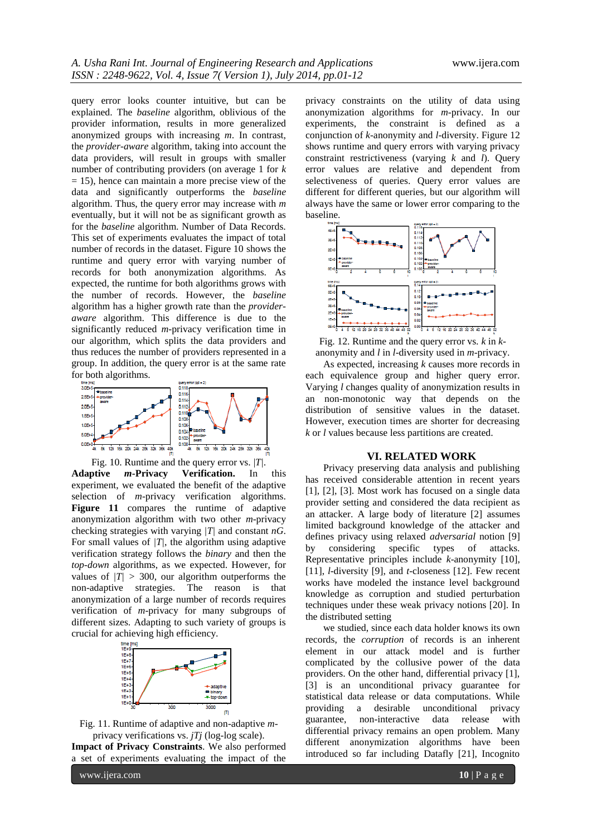query error looks counter intuitive, but can be explained. The *baseline* algorithm, oblivious of the provider information, results in more generalized anonymized groups with increasing *m*. In contrast, the *provider-aware* algorithm, taking into account the data providers, will result in groups with smaller number of contributing providers (on average 1 for *k*   $= 15$ ), hence can maintain a more precise view of the data and significantly outperforms the *baseline*  algorithm. Thus, the query error may increase with *m*  eventually, but it will not be as significant growth as for the *baseline* algorithm. Number of Data Records. This set of experiments evaluates the impact of total number of records in the dataset. Figure 10 shows the runtime and query error with varying number of records for both anonymization algorithms. As expected, the runtime for both algorithms grows with the number of records. However, the *baseline*  algorithm has a higher growth rate than the *provideraware* algorithm. This difference is due to the significantly reduced *m*-privacy verification time in our algorithm, which splits the data providers and thus reduces the number of providers represented in a group. In addition, the query error is at the same rate for both algorithms.





**Adaptive** *m***-Privacy Verification.** In this experiment, we evaluated the benefit of the adaptive selection of *m*-privacy verification algorithms. Figure 11 compares the runtime of adaptive anonymization algorithm with two other *m*-privacy checking strategies with varying *|T|* and constant *nG*. For small values of *|T|*, the algorithm using adaptive verification strategy follows the *binary* and then the *top-down* algorithms, as we expected. However, for values of  $|T| > 300$ , our algorithm outperforms the non-adaptive strategies. The reason is that anonymization of a large number of records requires verification of *m*-privacy for many subgroups of different sizes. Adapting to such variety of groups is crucial for achieving high efficiency.



Fig. 11. Runtime of adaptive and non-adaptive *m*privacy verifications vs. *jTj* (log-log scale). **Impact of Privacy Constraints**. We also performed a set of experiments evaluating the impact of the privacy constraints on the utility of data using anonymization algorithms for *m-*privacy. In our experiments, the constraint is defined as a conjunction of *k*-anonymity and *l*-diversity. Figure 12 shows runtime and query errors with varying privacy constraint restrictiveness (varying *k* and *l*). Query error values are relative and dependent from selectiveness of queries. Query error values are different for different queries, but our algorithm will always have the same or lower error comparing to the baseline.



Fig. 12. Runtime and the query error vs. *k* in *k*anonymity and *l* in *l*-diversity used in *m*-privacy.

As expected, increasing *k* causes more records in each equivalence group and higher query error. Varying *l* changes quality of anonymization results in an non-monotonic way that depends on the distribution of sensitive values in the dataset. However, execution times are shorter for decreasing *k* or *l* values because less partitions are created.

### **VI. RELATED WORK**

Privacy preserving data analysis and publishing has received considerable attention in recent years [1], [2], [3]. Most work has focused on a single data provider setting and considered the data recipient as an attacker. A large body of literature [2] assumes limited background knowledge of the attacker and defines privacy using relaxed *adversarial* notion [9] by considering specific types of attacks. Representative principles include *k*-anonymity [10], [11], *l*-diversity [9], and *t*-closeness [12]. Few recent works have modeled the instance level background knowledge as corruption and studied perturbation techniques under these weak privacy notions [20]. In the distributed setting

we studied, since each data holder knows its own records, the *corruption* of records is an inherent element in our attack model and is further complicated by the collusive power of the data providers. On the other hand, differential privacy [1], [3] is an unconditional privacy guarantee for statistical data release or data computations. While providing a desirable unconditional privacy guarantee, non-interactive data release with differential privacy remains an open problem. Many different anonymization algorithms have been introduced so far including Datafly [21], Incognito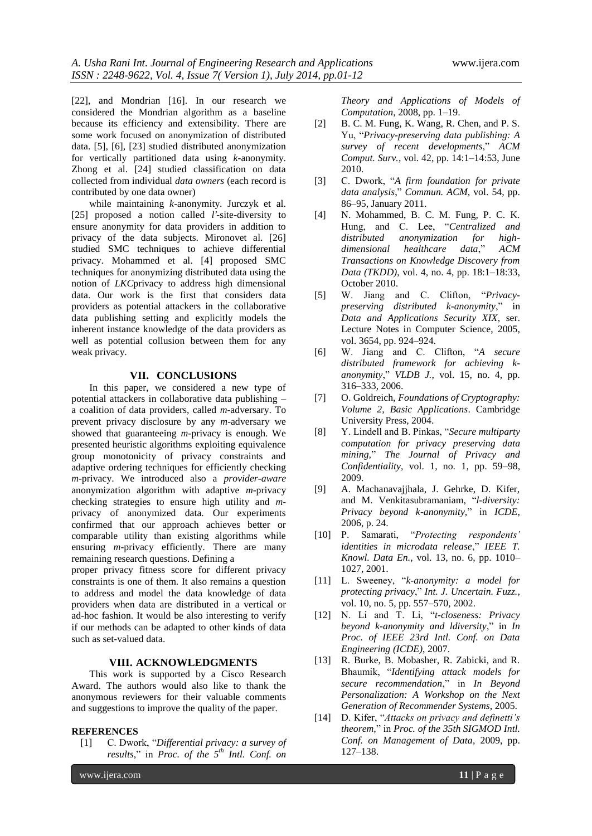[22], and Mondrian [16]. In our research we considered the Mondrian algorithm as a baseline because its efficiency and extensibility. There are some work focused on anonymization of distributed data. [5], [6], [23] studied distributed anonymization for vertically partitioned data using *k*-anonymity. Zhong et al. [24] studied classification on data collected from individual *data owners* (each record is contributed by one data owner)

while maintaining *k*-anonymity. Jurczyk et al. [25] proposed a notion called *l'*-site-diversity to ensure anonymity for data providers in addition to privacy of the data subjects. Mironovet al. [26] studied SMC techniques to achieve differential privacy. Mohammed et al. [4] proposed SMC techniques for anonymizing distributed data using the notion of *LKC*privacy to address high dimensional data. Our work is the first that considers data providers as potential attackers in the collaborative data publishing setting and explicitly models the inherent instance knowledge of the data providers as well as potential collusion between them for any weak privacy.

## **VII. CONCLUSIONS**

In this paper, we considered a new type of potential attackers in collaborative data publishing – a coalition of data providers, called *m*-adversary. To prevent privacy disclosure by any *m*-adversary we showed that guaranteeing *m*-privacy is enough. We presented heuristic algorithms exploiting equivalence group monotonicity of privacy constraints and adaptive ordering techniques for efficiently checking *m*-privacy. We introduced also a *provider-aware*  anonymization algorithm with adaptive *m*-privacy checking strategies to ensure high utility and *m*privacy of anonymized data. Our experiments confirmed that our approach achieves better or comparable utility than existing algorithms while ensuring *m*-privacy efficiently. There are many remaining research questions. Defining a

proper privacy fitness score for different privacy constraints is one of them. It also remains a question to address and model the data knowledge of data providers when data are distributed in a vertical or ad-hoc fashion. It would be also interesting to verify if our methods can be adapted to other kinds of data such as set-valued data.

## **VIII. ACKNOWLEDGMENTS**

This work is supported by a Cisco Research Award. The authors would also like to thank the anonymous reviewers for their valuable comments and suggestions to improve the quality of the paper.

#### **REFERENCES**

[1] C. Dwork, "*Differential privacy: a survey of results,*" in *Proc. of the 5th Intl. Conf. on* 

*Theory and Applications of Models of Computation*, 2008, pp. 1–19.

- [2] B. C. M. Fung, K. Wang, R. Chen, and P. S. Yu, "*Privacy-preserving data publishing: A survey of recent developments*," *ACM Comput. Surv.*, vol. 42, pp. 14:1–14:53, June 2010.
- [3] C. Dwork, "*A firm foundation for private data analysis*," *Commun. ACM*, vol. 54, pp. 86–95, January 2011.
- [4] N. Mohammed, B. C. M. Fung, P. C. K. Hung, and C. Lee, "*Centralized and distributed anonymization for highdimensional healthcare data*," *ACM Transactions on Knowledge Discovery from Data (TKDD)*, vol. 4, no. 4, pp. 18:1–18:33, October 2010.
- [5] W. Jiang and C. Clifton, "*Privacypreserving distributed k-anonymity*," in *Data and Applications Security XIX*, ser. Lecture Notes in Computer Science, 2005, vol. 3654, pp. 924–924.
- [6] W. Jiang and C. Clifton, "*A secure distributed framework for achieving kanonymity*," *VLDB J.*, vol. 15, no. 4, pp. 316–333, 2006.
- [7] O. Goldreich, *Foundations of Cryptography: Volume 2, Basic Applications*. Cambridge University Press, 2004.
- [8] Y. Lindell and B. Pinkas, "*Secure multiparty computation for privacy preserving data mining,*" *The Journal of Privacy and Confidentiality*, vol. 1, no. 1, pp. 59–98, 2009.
- [9] A. Machanavajjhala, J. Gehrke, D. Kifer, and M. Venkitasubramaniam, "*l-diversity: Privacy beyond k-anonymity,*" in *ICDE*, 2006, p. 24.
- [10] P. Samarati, "*Protecting respondents' identities in microdata release*," *IEEE T. Knowl. Data En.*, vol. 13, no. 6, pp. 1010– 1027, 2001.
- [11] L. Sweeney, "*k-anonymity: a model for protecting privacy*," *Int. J. Uncertain. Fuzz.*, vol. 10, no. 5, pp. 557–570, 2002.
- [12] N. Li and T. Li, "*t-closeness: Privacy beyond k-anonymity and ldiversity*," in *In Proc. of IEEE 23rd Intl. Conf. on Data Engineering (ICDE)*, 2007.
- [13] R. Burke, B. Mobasher, R. Zabicki, and R. Bhaumik, "*Identifying attack models for secure recommendation*," in *In Beyond Personalization: A Workshop on the Next Generation of Recommender Systems*, 2005.
- [14] D. Kifer, "*Attacks on privacy and definetti's theorem,*" in *Proc. of the 35th SIGMOD Intl. Conf. on Management of Data*, 2009, pp. 127–138.